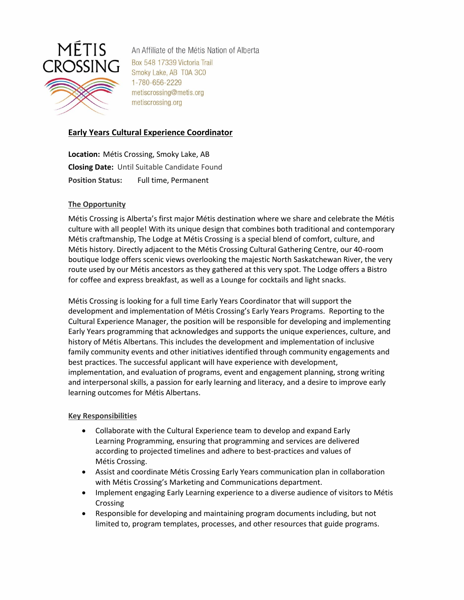

An Affiliate of the Métis Nation of Alberta Box 548 17339 Victoria Trail Smoky Lake, AB T0A 3C0 1-780-656-2229 metiscrossing@metis.org metiscrossing.org

# **Early Years Cultural Experience Coordinator**

**Location:** Métis Crossing, Smoky Lake, AB **Closing Date:** Until Suitable Candidate Found **Position Status:** Full time, Permanent

## **The Opportunity**

Métis Crossing is Alberta's first major Métis destination where we share and celebrate the Métis culture with all people! With its unique design that combines both traditional and contemporary Métis craftmanship, The Lodge at Métis Crossing is a special blend of comfort, culture, and Métis history. Directly adjacent to the Métis Crossing Cultural Gathering Centre, our 40-room boutique lodge offers scenic views overlooking the majestic North Saskatchewan River, the very route used by our Métis ancestors as they gathered at this very spot. The Lodge offers a Bistro for coffee and express breakfast, as well as a Lounge for cocktails and light snacks.

Métis Crossing is looking for a full time Early Years Coordinator that will support the development and implementation of Métis Crossing's Early Years Programs. Reporting to the Cultural Experience Manager, the position will be responsible for developing and implementing Early Years programming that acknowledges and supports the unique experiences, culture, and history of Métis Albertans. This includes the development and implementation of inclusive family community events and other initiatives identified through community engagements and best practices. The successful applicant will have experience with development, implementation, and evaluation of programs, event and engagement planning, strong writing and interpersonal skills, a passion for early learning and literacy, and a desire to improve early learning outcomes for Métis Albertans.

#### **Key Responsibilities**

- Collaborate with the Cultural Experience team to develop and expand Early Learning Programming, ensuring that programming and services are delivered according to projected timelines and adhere to best-practices and values of Métis Crossing.
- Assist and coordinate Métis Crossing Early Years communication plan in collaboration with Métis Crossing's Marketing and Communications department.
- Implement engaging Early Learning experience to a diverse audience of visitors to Métis Crossing
- Responsible for developing and maintaining program documents including, but not limited to, program templates, processes, and other resources that guide programs.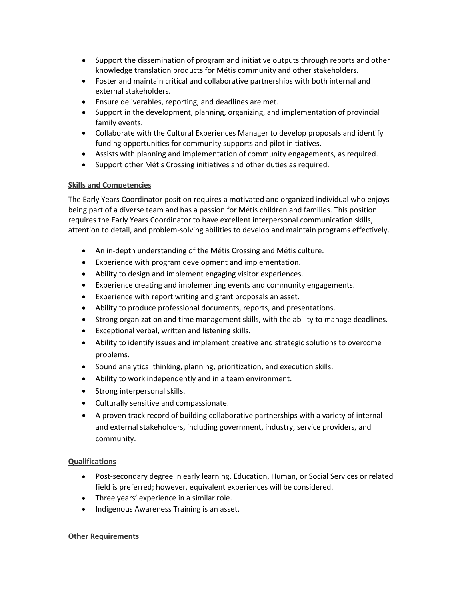- Support the dissemination of program and initiative outputs through reports and other knowledge translation products for Métis community and other stakeholders.
- Foster and maintain critical and collaborative partnerships with both internal and external stakeholders.
- Ensure deliverables, reporting, and deadlines are met.
- Support in the development, planning, organizing, and implementation of provincial family events.
- Collaborate with the Cultural Experiences Manager to develop proposals and identify funding opportunities for community supports and pilot initiatives.
- Assists with planning and implementation of community engagements, as required.
- Support other Métis Crossing initiatives and other duties as required.

#### **Skills and Competencies**

The Early Years Coordinator position requires a motivated and organized individual who enjoys being part of a diverse team and has a passion for Métis children and families. This position requires the Early Years Coordinator to have excellent interpersonal communication skills, attention to detail, and problem-solving abilities to develop and maintain programs effectively.

- An in-depth understanding of the Métis Crossing and Métis culture.
- Experience with program development and implementation.
- Ability to design and implement engaging visitor experiences.
- Experience creating and implementing events and community engagements.
- Experience with report writing and grant proposals an asset.
- Ability to produce professional documents, reports, and presentations.
- Strong organization and time management skills, with the ability to manage deadlines.
- Exceptional verbal, written and listening skills.
- Ability to identify issues and implement creative and strategic solutions to overcome problems.
- Sound analytical thinking, planning, prioritization, and execution skills.
- Ability to work independently and in a team environment.
- Strong interpersonal skills.
- Culturally sensitive and compassionate.
- A proven track record of building collaborative partnerships with a variety of internal and external stakeholders, including government, industry, service providers, and community.

#### **Qualifications**

- Post-secondary degree in early learning, Education, Human, or Social Services or related field is preferred; however, equivalent experiences will be considered.
- Three years' experience in a similar role.
- Indigenous Awareness Training is an asset.

#### **Other Requirements**